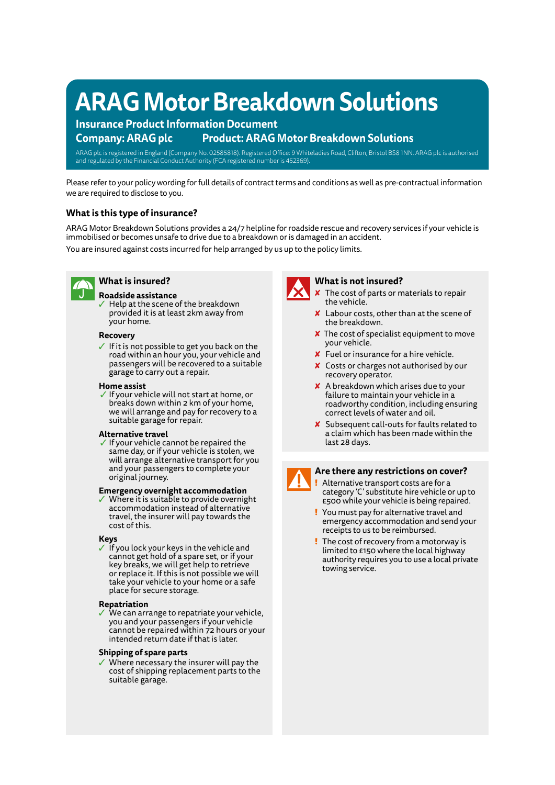# **ARAG Motor Breakdown Solutions**

## **Insurance Product Information Document Company: ARAG plc Product: ARAG Motor Breakdown Solutions**

ARAG plc is registered in England (Company No. 02585818). Registered Office: 9 Whiteladies Road, Clifton, Bristol BS8 1NN. ARAG plc is authorised and regulated by the Financial Conduct Authority (FCA registered number is 452369).

Please refer to your policy wording for full details of contract terms and conditions as well as pre-contractual information we are required to disclose to you.

## **What is this type of insurance?**

ARAG Motor Breakdown Solutions provides a 24/7 helpline for roadside rescue and recovery services if your vehicle is immobilised or becomes unsafe to drive due to a breakdown or is damaged in an accident. You are insured against costs incurred for help arranged by us up to the policy limits.



## **What is insured?**

#### **Roadside assistance**

✓ Help at the scene of the breakdown provided it is at least 2km away from your home.

#### **Recovery**

✓ If it is not possible to get you back on the road within an hour you, your vehicle and passengers will be recovered to a suitable garage to carry out a repair.

#### **Home assist**

If your vehicle will not start at home, or breaks down within 2 km of your home, we will arrange and pay for recovery to a suitable garage for repair.

#### **Alternative travel**

✓ If your vehicle cannot be repaired the same day, or if your vehicle is stolen, we will arrange alternative transport for you and your passengers to complete your original journey.

#### **Emergency overnight accommodation**

Where it is suitable to provide overnight accommodation instead of alternative travel, the insurer will pay towards the cost of this.

## **Keys**

✓ If you lock your keys in the vehicle and cannot get hold of a spare set, or if your key breaks, we will get help to retrieve or replace it. If this is not possible we will take your vehicle to your home or a safe place for secure storage.

#### **Repatriation**

We can arrange to repatriate your vehicle, you and your passengers if your vehicle cannot be repaired within 72 hours or your intended return date if that is later.

#### **Shipping of spare parts**

Where necessary the insurer will pay the cost of shipping replacement parts to the suitable garage.



## **What is not insured?**

- $\times$  The cost of parts or materials to repair the vehicle.
- ✘ Labour costs, other than at the scene of the breakdown.
- ✘ The cost of specialist equipment to move your vehicle.
- ✘ Fuel or insurance for a hire vehicle.
- ✘ Costs or charges not authorised by our recovery operator.
- ✘ A breakdown which arises due to your failure to maintain your vehicle in a roadworthy condition, including ensuring correct levels of water and oil.
- ✘ Subsequent call-outs for faults related to a claim which has been made within the last 28 days.

## **Are there any restrictions on cover?**

- Alternative transport costs are for a category 'C' substitute hire vehicle or up to £500 while your vehicle is being repaired.
- ! You must pay for alternative travel and emergency accommodation and send your receipts to us to be reimbursed.
- ! The cost of recovery from a motorway is limited to £150 where the local highway authority requires you to use a local private towing service.